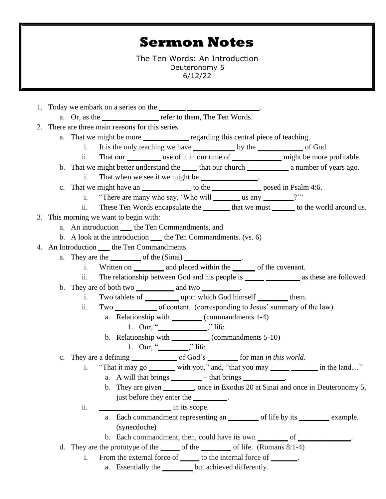## **Sermon Notes**

The Ten Words: An Introduction Deuteronomy 5 6/12/22

- 1. Today we embark on a series on the **\_\_\_\_\_\_\_ \_\_\_\_\_\_\_\_\_\_\_\_\_\_\_\_\_\_\_**.
	- a. Or, as the **\_\_\_\_\_\_\_\_\_\_\_\_\_\_\_** refer to them, The Ten Words.
- 2. There are three main reasons for this series.
	- a. That we might be more **\_\_\_\_\_\_\_\_\_\_\_\_\_** regarding this central piece of teaching.
		- i. It is the only teaching we have **\_\_\_\_\_\_\_\_\_\_\_** by the **\_\_\_\_\_\_\_\_\_\_\_\_** of God.
		- ii. That our **\_\_\_\_\_\_\_\_\_** use of it in our time of **\_\_\_\_\_\_\_\_\_\_\_\_\_** might be more profitable.
	- b. That we might better understand the **\_\_\_\_** that our church **\_\_\_\_\_\_\_\_\_\_\_** a number of years ago.
		- i. That when we see it we might be **\_\_\_\_\_\_\_\_\_\_\_\_\_\_\_**.
	- c. That we might have an **\_\_\_\_\_\_\_\_\_\_\_\_\_** to the **\_\_\_\_\_\_\_\_\_\_\_\_\_** posed in Psalm 4:6.
		- i. "There are many who say, 'Who will **\_\_\_\_\_\_\_** us any **\_\_\_\_\_\_\_\_**?'"
		- ii. These Ten Words encapsulate the **\_\_\_\_\_\_\_** that we must **\_\_\_\_\_\_** to the world around us.
- 3. This morning we want to begin with:
	- a. An introduction *\_\_\_* the Ten Commandments, and
	- b. A look at the introduction *\_\_\_* the Ten Commandments. (vs. 6)
- 4. An Introduction *\_\_\_* the Ten Commandments
	- a. They are the **\_\_\_\_\_\_\_\_** of the (Sinai) **\_\_\_\_\_\_\_\_\_\_\_\_\_\_\_**.
		- i. Written on **\_\_\_\_\_\_\_\_** and placed within the **\_\_\_\_\_\_** of the covenant.
		- ii. The relationship between God and his people is **\_\_\_\_\_ \_\_\_\_\_\_\_\_\_** as these are followed.
	- b. They are of both two **\_\_\_\_\_\_\_\_\_\_** and two **\_\_\_\_\_\_\_\_\_\_**.
		- i. Two tablets of **\_\_\_\_\_\_\_\_\_** upon which God himself **\_\_\_\_\_\_\_\_** them.
		- ii. Two **\_\_\_\_\_\_\_\_\_\_\_** of content. (corresponding to Jesus' summary of the law)
			- a. Relationship with **\_\_\_\_\_\_\_\_** (commandments 1-4)
				- 1. Our, "**\_\_\_\_\_\_\_\_\_\_\_\_\_**," life.
			- b. Relationship with **\_\_\_\_\_\_\_\_\_\_** (commandments 5-10) 1. Our, "**\_\_\_\_\_\_\_\_**," life.
	- c. They are a defining **\_\_\_\_\_\_\_\_\_\_\_\_** of God's **\_\_\_\_\_\_\_\_** for man *in this world*.
		- i. "That it may go **\_\_\_\_\_\_\_** with you," and, "that you may **\_\_\_\_\_ \_\_\_\_\_\_\_** in the land…" a. A will that brings \_\_\_\_\_\_\_\_\_\_ – that brings \_\_\_\_\_\_\_\_\_\_\_\_\_\_\_\_\_\_\_\_\_\_\_\_\_\_\_\_\_\_\_\_\_\_
			- b. They are given **\_\_\_\_\_\_\_\_**, once in Exodus 20 at Sinai and once in Deuteronomy 5, just before they enter the **\_\_\_\_\_\_\_\_\_**.
		- ii. **in** its scope.
			- a. Each commandment representing an **\_\_\_\_\_\_\_\_** of life by its **\_\_\_\_\_\_\_\_** example. (synecdoche)
			- b. Each commandment, then, could have its own **\_\_\_\_\_\_\_\_** of **\_\_\_\_\_\_\_\_\_\_\_\_\_\_**.
	- d. They are the prototype of the **\_\_\_\_\_** of the **\_\_\_\_\_\_\_\_** of life. (Romans 8:1-4)
		- i. From the external force of **\_\_\_\_\_** to the internal force of **\_\_\_\_\_\_\_**.
			- a. Essentially the **\_\_\_\_\_\_\_\_** but achieved differently.